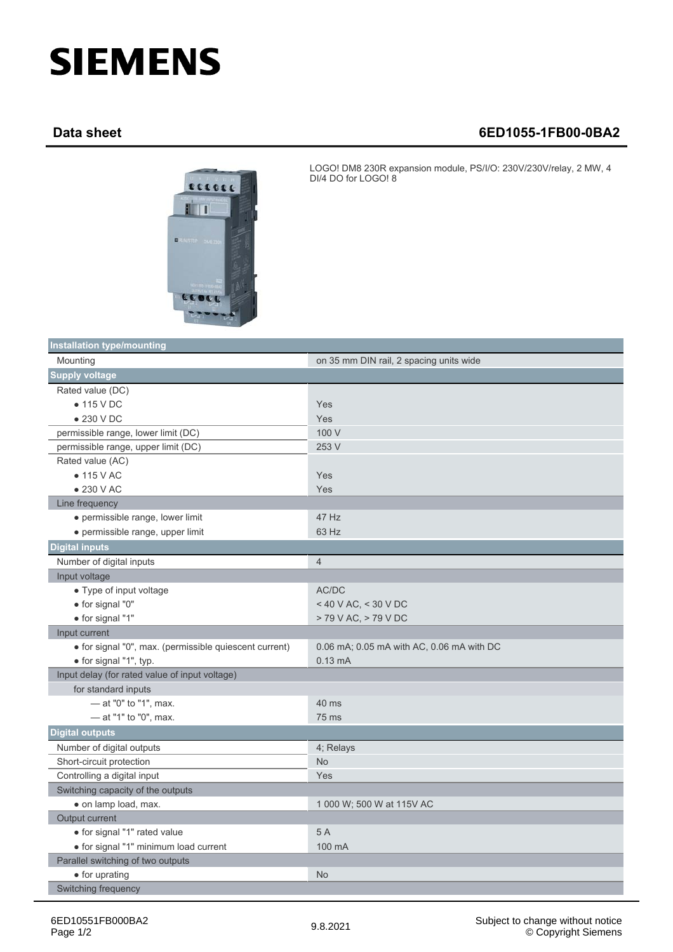## **SIEMENS**

## **Data sheet 6ED1055-1FB00-0BA2**



LOGO! DM8 230R expansion module, PS/I/O: 230V/230V/relay, 2 MW, 4 DI/4 DO for LOGO! 8

| <b>Installation type/mounting</b>                      |                                           |
|--------------------------------------------------------|-------------------------------------------|
| Mounting                                               | on 35 mm DIN rail, 2 spacing units wide   |
| <b>Supply voltage</b>                                  |                                           |
| Rated value (DC)                                       |                                           |
| $\bullet$ 115 V DC                                     | Yes                                       |
| $\bullet$ 230 V DC                                     | Yes                                       |
| permissible range, lower limit (DC)                    | 100 V                                     |
| permissible range, upper limit (DC)                    | 253 V                                     |
| Rated value (AC)                                       |                                           |
| $\bullet$ 115 V AC                                     | Yes                                       |
| $\bullet$ 230 V AC                                     | Yes                                       |
| Line frequency                                         |                                           |
| · permissible range, lower limit                       | 47 Hz                                     |
| · permissible range, upper limit                       | 63 Hz                                     |
| <b>Digital inputs</b>                                  |                                           |
| Number of digital inputs                               | $\overline{4}$                            |
| Input voltage                                          |                                           |
| • Type of input voltage                                | AC/DC                                     |
| · for signal "0"                                       | < 40 V AC, < 30 V DC                      |
| · for signal "1"                                       | > 79 V AC, > 79 V DC                      |
| Input current                                          |                                           |
| · for signal "0", max. (permissible quiescent current) | 0.06 mA; 0.05 mA with AC, 0.06 mA with DC |
| · for signal "1", typ.                                 | $0.13 \text{ mA}$                         |
| Input delay (for rated value of input voltage)         |                                           |
| for standard inputs                                    |                                           |
| - at "0" to "1", max.                                  | 40 ms                                     |
| - at "1" to "0", max.                                  | 75 ms                                     |
| <b>Digital outputs</b>                                 |                                           |
| Number of digital outputs                              | 4; Relays                                 |
| Short-circuit protection                               | <b>No</b>                                 |
| Controlling a digital input                            | Yes                                       |
| Switching capacity of the outputs                      |                                           |
| • on lamp load, max.                                   | 1 000 W; 500 W at 115V AC                 |
| Output current                                         |                                           |
| · for signal "1" rated value                           | 5 A                                       |
| · for signal "1" minimum load current                  | 100 mA                                    |
| Parallel switching of two outputs                      |                                           |
| • for uprating                                         | <b>No</b>                                 |
| Switching frequency                                    |                                           |